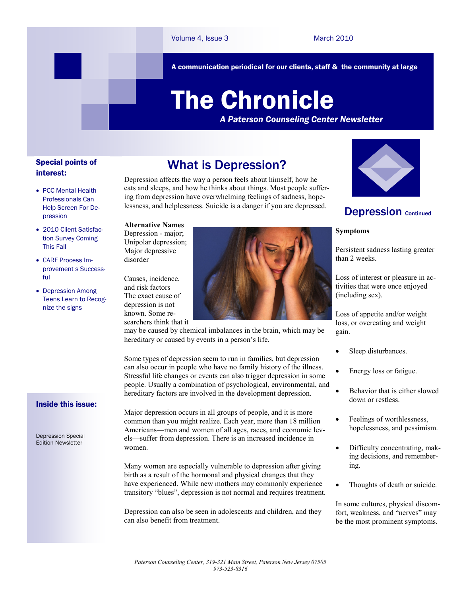A communication periodical for our clients, staff & the community at large

# The Chronicle

*A Paterson Counseling Center Newsletter*

# Special points of interest:

- PCC Mental Health Professionals Can Help Screen For Depression
- 2010 Client Satisfaction Survey Coming This Fall
- CARF Process Improvement s Successful
- Depression Among Teens Learn to Recognize the signs

# What is Depression?

Depression affects the way a person feels about himself, how he eats and sleeps, and how he thinks about things. Most people suffering from depression have overwhelming feelings of sadness, hopelessness, and helplessness. Suicide is a danger if you are depressed.

**Alternative Names**  Depression - major; Unipolar depression; Major depressive

disorder Causes, incidence, and risk factors The exact cause of depression is not known. Some re-

searchers think that it



may be caused by chemical imbalances in the brain, which may be hereditary or caused by events in a person's life.

Some types of depression seem to run in families, but depression can also occur in people who have no family history of the illness. Stressful life changes or events can also trigger depression in some people. Usually a combination of psychological, environmental, and hereditary factors are involved in the development depression.

Major depression occurs in all groups of people, and it is more common than you might realize. Each year, more than 18 million Americans—men and women of all ages, races, and economic levels—suffer from depression. There is an increased incidence in women.

Many women are especially vulnerable to depression after giving birth as a result of the hormonal and physical changes that they have experienced. While new mothers may commonly experience transitory "blues", depression is not normal and requires treatment.

Depression can also be seen in adolescents and children, and they can also benefit from treatment.



# **Depression Continued**

## **Symptoms**

Persistent sadness lasting greater than 2 weeks.

Loss of interest or pleasure in activities that were once enjoyed (including sex).

Loss of appetite and/or weight loss, or overeating and weight gain.

- Sleep disturbances.
- Energy loss or fatigue.
- Behavior that is either slowed down or restless.
- Feelings of worthlessness, hopelessness, and pessimism.
- Difficulty concentrating, making decisions, and remembering.
- Thoughts of death or suicide.

In some cultures, physical discomfort, weakness, and "nerves" may be the most prominent symptoms.

# Inside this issue:

Depression Special Edition Newsletter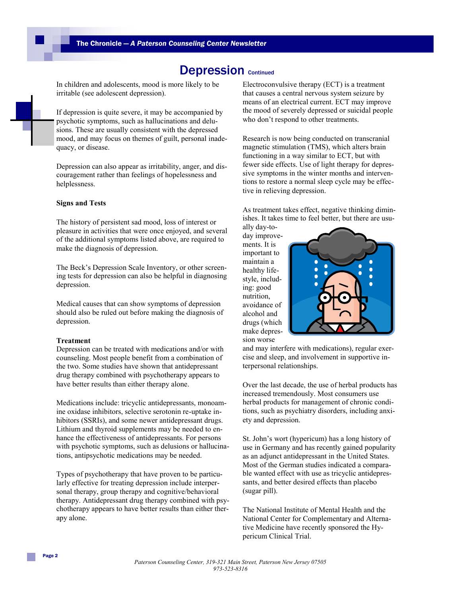# Depression continued

In children and adolescents, mood is more likely to be irritable (see adolescent depression).

If depression is quite severe, it may be accompanied by psychotic symptoms, such as hallucinations and delusions. These are usually consistent with the depressed mood, and may focus on themes of guilt, personal inadequacy, or disease.

Depression can also appear as irritability, anger, and discouragement rather than feelings of hopelessness and helplessness.

# **Signs and Tests**

The history of persistent sad mood, loss of interest or pleasure in activities that were once enjoyed, and several of the additional symptoms listed above, are required to make the diagnosis of depression.

The Beck's Depression Scale Inventory, or other screening tests for depression can also be helpful in diagnosing depression.

Medical causes that can show symptoms of depression should also be ruled out before making the diagnosis of depression.

#### **Treatment**

Depression can be treated with medications and/or with counseling. Most people benefit from a combination of the two. Some studies have shown that antidepressant drug therapy combined with psychotherapy appears to have better results than either therapy alone.

Medications include: tricyclic antidepressants, monoamine oxidase inhibitors, selective serotonin re-uptake inhibitors (SSRIs), and some newer antidepressant drugs. Lithium and thyroid supplements may be needed to enhance the effectiveness of antidepressants. For persons with psychotic symptoms, such as delusions or hallucinations, antipsychotic medications may be needed.

Types of psychotherapy that have proven to be particularly effective for treating depression include interpersonal therapy, group therapy and cognitive/behavioral therapy. Antidepressant drug therapy combined with psychotherapy appears to have better results than either therapy alone.

Electroconvulsive therapy (ECT) is a treatment that causes a central nervous system seizure by means of an electrical current. ECT may improve the mood of severely depressed or suicidal people who don't respond to other treatments.

Research is now being conducted on transcranial magnetic stimulation (TMS), which alters brain functioning in a way similar to ECT, but with fewer side effects. Use of light therapy for depressive symptoms in the winter months and interventions to restore a normal sleep cycle may be effective in relieving depression.

As treatment takes effect, negative thinking diminishes. It takes time to feel better, but there are usu-

ally day-today improvements. It is important to maintain a healthy lifestyle, including: good nutrition, avoidance of alcohol and drugs (which make depression worse



and may interfere with medications), regular exercise and sleep, and involvement in supportive interpersonal relationships.

Over the last decade, the use of herbal products has increased tremendously. Most consumers use herbal products for management of chronic conditions, such as psychiatry disorders, including anxiety and depression.

St. John's wort (hypericum) has a long history of use in Germany and has recently gained popularity as an adjunct antidepressant in the United States. Most of the German studies indicated a comparable wanted effect with use as tricyclic antidepressants, and better desired effects than placebo (sugar pill).

The National Institute of Mental Health and the National Center for Complementary and Alternative Medicine have recently sponsored the Hypericum Clinical Trial.